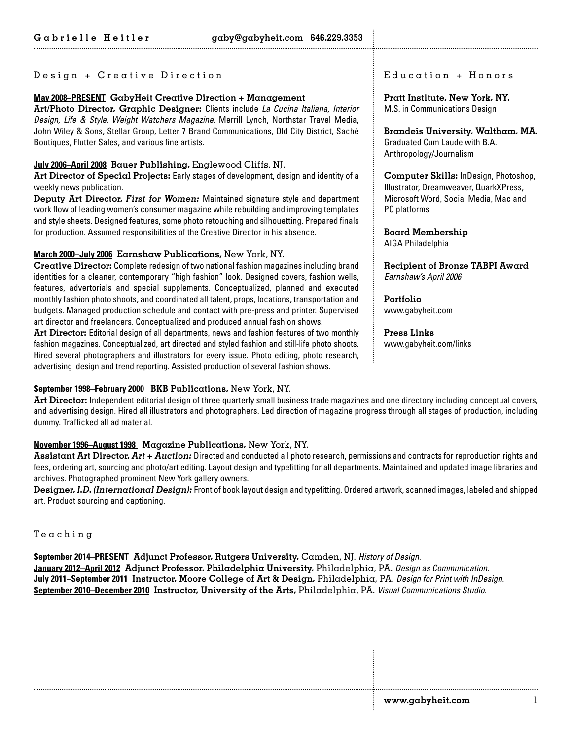### Design + Creative Direction

# **May 2008–PRESENT GabyHeit Creative Direction + Management**

**Art/Photo Director, Graphic Designer:** Clients include *La Cucina Italiana, Interior Design, Life & Style, Weight Watchers Magazine,* Merrill Lynch, Northstar Travel Media, John Wiley & Sons, Stellar Group, Letter 7 Brand Communications, Old City District, Saché Boutiques, Flutter Sales, and various fine artists.

## **July 2006–April 2008 Bauer Publishing,** Englewood Cliffs, NJ.

**Art Director of Special Projects:** Early stages of development, design and identity of a weekly news publication.

**Deputy Art Director,** *First for Women:* Maintained signature style and department work flow of leading women's consumer magazine while rebuilding and improving templates and style sheets. Designed features, some photo retouching and silhouetting. Prepared finals for production. Assumed responsibilities of the Creative Director in his absence.

## **March 2000–July 2006 Earnshaw Publications,** New York, NY.

**Creative Director:** Complete redesign of two national fashion magazines including brand identities for a cleaner, contemporary "high fashion" look. Designed covers, fashion wells, features, advertorials and special supplements. Conceptualized, planned and executed monthly fashion photo shoots, and coordinated all talent, props, locations, transportation and budgets. Managed production schedule and contact with pre-press and printer. Supervised art director and freelancers. Conceptualized and produced annual fashion shows.

**Art Director:** Editorial design of all departments, news and fashion features of two monthly fashion magazines. Conceptualized, art directed and styled fashion and still-life photo shoots. Hired several photographers and illustrators for every issue. Photo editing, photo research, advertising design and trend reporting. Assisted production of several fashion shows.

## **September 1998–February 2000 BKB Publications,** New York, NY.

**Art Director:** Independent editorial design of three quarterly small business trade magazines and one directory including conceptual covers, and advertising design. Hired all illustrators and photographers. Led direction of magazine progress through all stages of production, including dummy. Trafficked all ad material.

# **November 1996–August 1998 Magazine Publications,** New York, NY.

**Assistant Art Director,** *Art + Auction:* Directed and conducted all photo research, permissions and contracts for reproduction rights and fees, ordering art, sourcing and photo/art editing. Layout design and typefitting for all departments. Maintained and updated image libraries and archives. Photographed prominent New York gallery owners.

**Designer,** *I.D. (International Design):* Front of book layout design and typefitting. Ordered artwork, scanned images, labeled and shipped art. Product sourcing and captioning.

Teaching

**September 2014–PRESENT Adjunct Professor, Rutgers University,** Camden, NJ. *History of Design.*  **January 2012–April 2012 Adjunct Professor, Philadelphia University,** Philadelphia, PA. *Design as Communication.* **July 2011–September 2011 Instructor, Moore College of Art & Design,** Philadelphia, PA. *Design for Print with InDesign.* **September 2010–December 2010 Instructor, University of the Arts,** Philadelphia, PA. *Visual Communications Studio.* 

#### $E$ ducation +  $H$ onors

**Pratt Institute, New York, NY.**  M.S. in Communications Design

**Brandeis University, Waltham, MA.**  Graduated Cum Laude with B.A. Anthropology/Journalism

**Computer Skills:** InDesign, Photoshop, Illustrator, Dreamweaver, QuarkXPress, Microsoft Word, Social Media, Mac and PC platforms

**Board Membership** AIGA Philadelphia

**Recipient of Bronze TABPI Award**  *Earnshaw's April 2006* 

**Portfolio** www.gabyheit.com

**Press Links** www.gabyheit.com/links